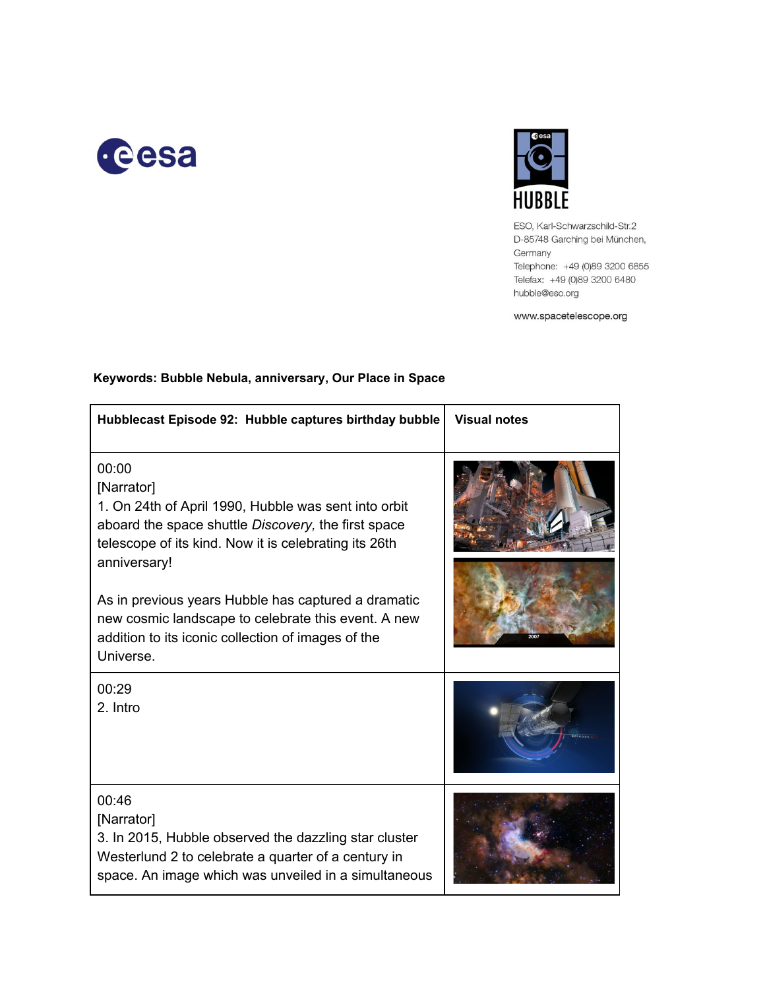



ESO, Karl-Schwarzschild-Str.2 D-85748 Garching bei München, Germany Telephone: +49 (0)89 3200 6855 Telefax: +49 (0)89 3200 6480 hubble@eso.org

www.spacetelescope.org

| Hubblecast Episode 92: Hubble captures birthday bubble                                                                                                                                                                                                                                                                                                                                       | <b>Visual notes</b> |
|----------------------------------------------------------------------------------------------------------------------------------------------------------------------------------------------------------------------------------------------------------------------------------------------------------------------------------------------------------------------------------------------|---------------------|
| 00:00<br>[Narrator]<br>1. On 24th of April 1990, Hubble was sent into orbit<br>aboard the space shuttle Discovery, the first space<br>telescope of its kind. Now it is celebrating its 26th<br>anniversary!<br>As in previous years Hubble has captured a dramatic<br>new cosmic landscape to celebrate this event. A new<br>addition to its iconic collection of images of the<br>Universe. | 2007                |
| 00:29<br>2. Intro                                                                                                                                                                                                                                                                                                                                                                            |                     |
| 00:46<br>[Narrator]<br>3. In 2015, Hubble observed the dazzling star cluster<br>Westerlund 2 to celebrate a quarter of a century in<br>space. An image which was unveiled in a simultaneous                                                                                                                                                                                                  |                     |

## **Keywords: Bubble Nebula, anniversary, Our Place in Space**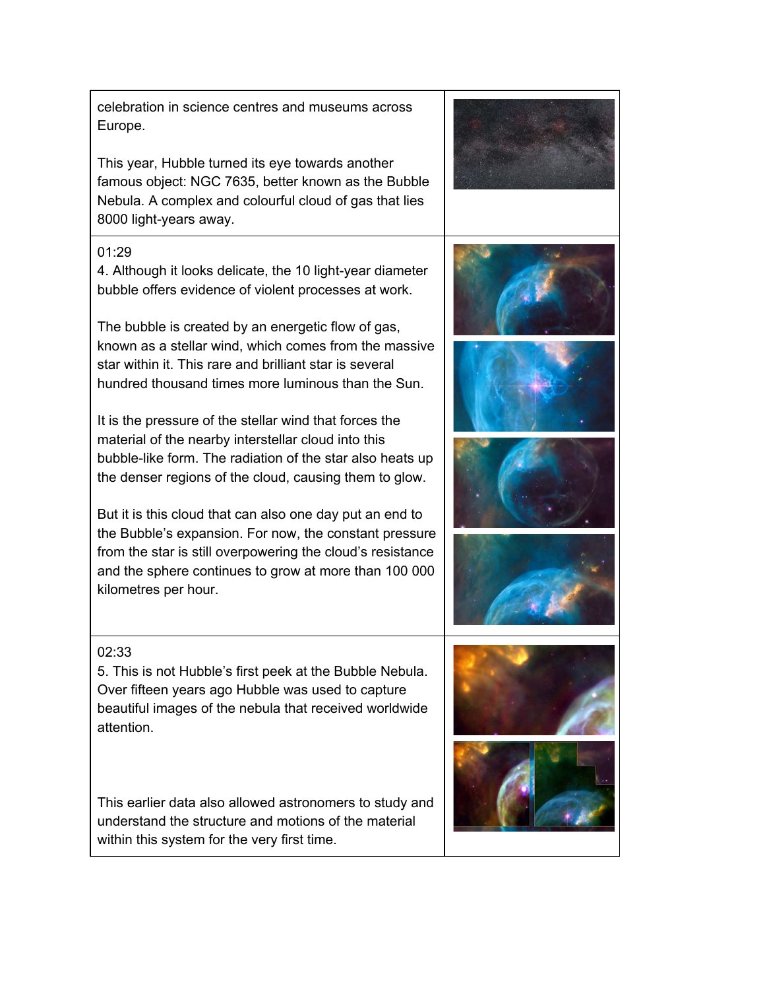5. This is not Hubble's first peek at the Bubble Nebula. Over fifteen years ago Hubble was used to capture beautiful images of the nebula that received worldwide

This earlier data also allowed astronomers to study and understand the structure and motions of the material within this system for the very first time.



This year, Hubble turned its eye towards another famous object: NGC 7635, better known as the Bubble Nebula. A complex and colourful cloud of gas that lies 8000 light-years away.

## 01:29

02:33

attention.

4. Although it looks delicate, the 10 light-year diameter bubble offers evidence of violent processes at work.

The bubble is created by an energetic flow of gas, known as a stellar wind, which comes from the massive star within it. This rare and brilliant star is several hundred thousand times more luminous than the Sun.

It is the pressure of the stellar wind that forces the material of the nearby interstellar cloud into this bubble-like form. The radiation of the star also heats up the denser regions of the cloud, causing them to glow.

But it is this cloud that can also one day put an end to the Bubble's expansion. For now, the constant pressure from the star is still overpowering the cloud's resistance and the sphere continues to grow at more than 100 000 kilometres per hour.